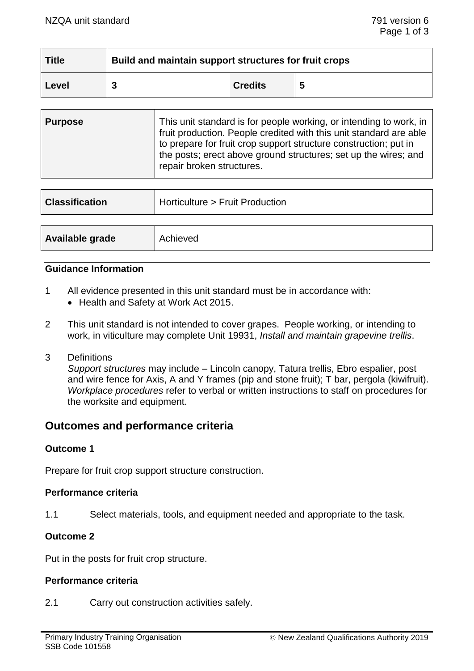| <b>Title</b> | Build and maintain support structures for fruit crops |                |   |
|--------------|-------------------------------------------------------|----------------|---|
| Level        |                                                       | <b>Credits</b> | 5 |

| <b>Purpose</b> | This unit standard is for people working, or intending to work, in<br>fruit production. People credited with this unit standard are able<br>to prepare for fruit crop support structure construction; put in<br>the posts; erect above ground structures; set up the wires; and<br>repair broken structures. |
|----------------|--------------------------------------------------------------------------------------------------------------------------------------------------------------------------------------------------------------------------------------------------------------------------------------------------------------|
|                |                                                                                                                                                                                                                                                                                                              |

| <b>Classification</b> | Horticulture > Fruit Production |
|-----------------------|---------------------------------|
|                       |                                 |
| Available grade       | Achieved                        |

# **Guidance Information**

- 1 All evidence presented in this unit standard must be in accordance with:
	- Health and Safety at Work Act 2015.
- 2 This unit standard is not intended to cover grapes. People working, or intending to work, in viticulture may complete Unit 19931, *Install and maintain grapevine trellis*.
- 3 Definitions

*Support structures* may include – Lincoln canopy, Tatura trellis, Ebro espalier, post and wire fence for Axis, A and Y frames (pip and stone fruit); T bar, pergola (kiwifruit). *Workplace procedures* refer to verbal or written instructions to staff on procedures for the worksite and equipment.

# **Outcomes and performance criteria**

### **Outcome 1**

Prepare for fruit crop support structure construction.

### **Performance criteria**

1.1 Select materials, tools, and equipment needed and appropriate to the task.

## **Outcome 2**

Put in the posts for fruit crop structure.

### **Performance criteria**

2.1 Carry out construction activities safely.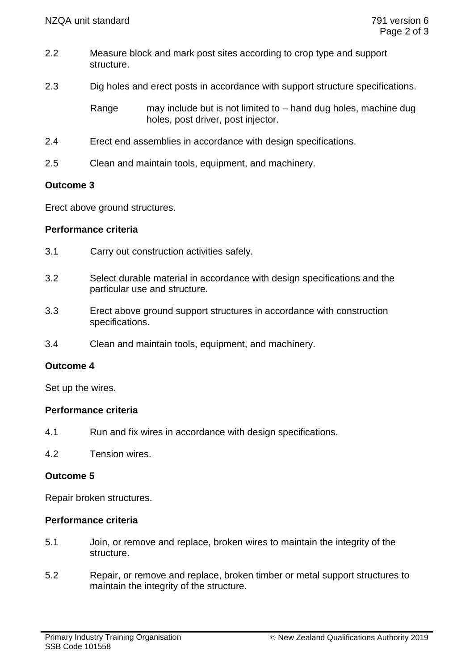- 2.2 Measure block and mark post sites according to crop type and support structure.
- 2.3 Dig holes and erect posts in accordance with support structure specifications.

Range may include but is not limited to – hand dug holes, machine dug holes, post driver, post injector.

- 2.4 Erect end assemblies in accordance with design specifications.
- 2.5 Clean and maintain tools, equipment, and machinery.

## **Outcome 3**

Erect above ground structures.

## **Performance criteria**

- 3.1 Carry out construction activities safely.
- 3.2 Select durable material in accordance with design specifications and the particular use and structure.
- 3.3 Erect above ground support structures in accordance with construction specifications.
- 3.4 Clean and maintain tools, equipment, and machinery.

## **Outcome 4**

Set up the wires.

### **Performance criteria**

- 4.1 Run and fix wires in accordance with design specifications.
- 4.2 Tension wires.

## **Outcome 5**

Repair broken structures.

## **Performance criteria**

- 5.1 Join, or remove and replace, broken wires to maintain the integrity of the structure.
- 5.2 Repair, or remove and replace, broken timber or metal support structures to maintain the integrity of the structure.